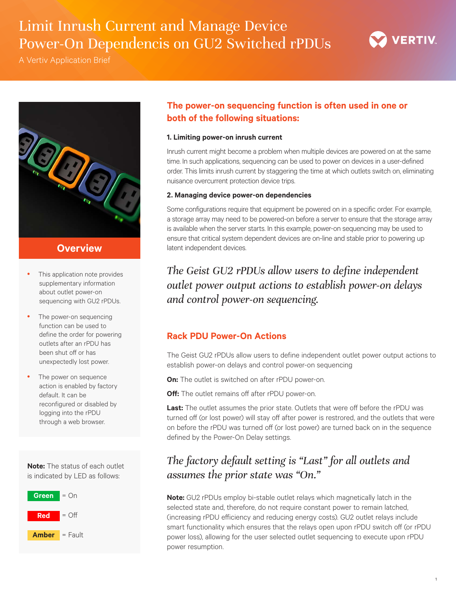# Limit Inrush Current and Manage Device Power-On Dependencis on GU2 Switched rPDUs

A Vertiv Application Brief





# **Overview**

- This application note provides supplementary information about outlet power-on sequencing with GU2 rPDUs.
- The power-on sequencing function can be used to define the order for powering outlets after an rPDU has been shut off or has unexpectedly lost power.
- The power on sequence action is enabled by factory default. It can be reconfigured or disabled by logging into the rPDU through a web browser.

**Note:** The status of each outlet is indicated by LED as follows:



# **The power-on sequencing function is often used in one or both of the following situations:**

### **1. Limiting power-on inrush current**

Inrush current might become a problem when multiple devices are powered on at the same time. In such applications, sequencing can be used to power on devices in a user-defined order. This limits inrush current by staggering the time at which outlets switch on, eliminating nuisance overcurrent protection device trips.

### **2. Managing device power-on dependencies**

Some configurations require that equipment be powered on in a specific order. For example, a storage array may need to be powered-on before a server to ensure that the storage array is available when the server starts. In this example, power-on sequencing may be used to ensure that critical system dependent devices are on-line and stable prior to powering up latent independent devices.

# *The Geist GU2 rPDUs allow users to define independent outlet power output actions to establish power-on delays and control power-on sequencing.*

# **Rack PDU Power-On Actions**

The Geist GU2 rPDUs allow users to define independent outlet power output actions to establish power-on delays and control power-on sequencing

**On:** The outlet is switched on after rPDU power-on.

**Off:** The outlet remains off after rPDU power-on.

Last: The outlet assumes the prior state. Outlets that were off before the rPDU was turned off (or lost power) will stay off after power is restrored, and the outlets that were on before the rPDU was turned off (or lost power) are turned back on in the sequence defined by the Power-On Delay settings.

# *The factory default setting is "Last" for all outlets and assumes the prior state was "On."*

**Note:** GU2 rPDUs employ bi-stable outlet relays which magnetically latch in the selected state and, therefore, do not require constant power to remain latched, (increasing rPDU efficiency and reducing energy costs). GU2 outlet relays include smart functionality which ensures that the relays open upon rPDU switch off (or rPDU power loss), allowing for the user selected outlet sequencing to execute upon rPDU power resumption.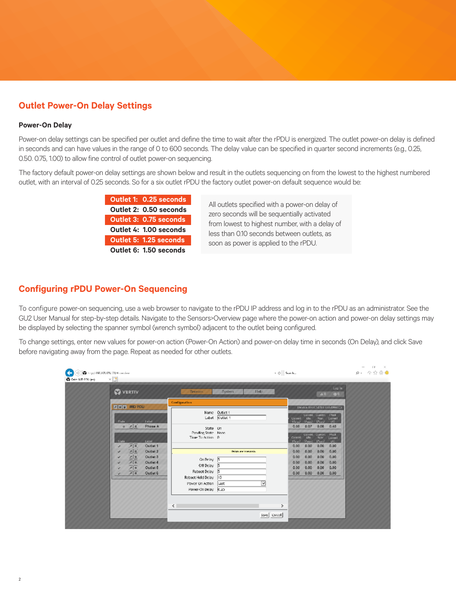# **Outlet Power-On Delay Settings**

### **Power-On Delay**

2

Power-on delay settings can be specified per outlet and define the time to wait after the rPDU is energized. The outlet power-on delay is defined in seconds and can have values in the range of 0 to 600 seconds. The delay value can be specified in quarter second increments (e.g., 0.25, 0.50. 0.75, 1.00) to allow fine control of outlet power-on sequencing.

The factory default power-on delay settings are shown below and result in the outlets sequencing on from the lowest to the highest numbered outlet, with an interval of 0.25 seconds. So for a six outlet rPDU the factory outlet power-on default sequence would be:

> **Outlet 1: 0.25 seconds Outlet 2: 0.50 seconds Outlet 3: 0.75 seconds Outlet 4: 1.00 seconds Outlet 5: 1.25 seconds Outlet 6: 1.50 seconds**

All outlets specified with a power-on delay of zero seconds will be sequentially activated from lowest to highest number, with a delay of less than 0.10 seconds between outlets, as soon as power is applied to the rPDU.

### **Configuring rPDU Power-On Sequencing**

To configure power-on sequencing, use a web browser to navigate to the rPDU IP address and log in to the rPDU as an administrator. See the GU2 User Manual for step-by-step details. Navigate to the Sensors>Overview page where the power-on action and power-on delay settings may be displayed by selecting the spanner symbol (wrench symbol) adjacent to the outlet being configured.

To change settings, enter new values for power-on action (Power-On Action) and power-on delay time in seconds (On Delay), and click Save before navigating away from the page. Repeat as needed for other outlets.

| <b>VERTIV</b>                                                                                                                                               | Lup In<br>Help.<br>Seristrs<br>System<br>00<br>A0           |                         |                                |                                                                                   |                               |  |
|-------------------------------------------------------------------------------------------------------------------------------------------------------------|-------------------------------------------------------------|-------------------------|--------------------------------|-----------------------------------------------------------------------------------|-------------------------------|--|
| A W G IMD POU                                                                                                                                               | Configuration<br>Name Outlet 1                              |                         |                                | TRAIN ID OCSITED OR INDUCTS                                                       |                               |  |
| <b>Tabel</b><br>S Isla<br>$0$ $A$<br>Phase A                                                                                                                |                                                             | Labet <b>Cuttet 1</b>   | Conent<br>$U_{\text{total}}$   | Curent<br>Conent.<br>Nav.<br><b>A'm</b><br>Meanul<br>$(M_{\text{total}})$<br>0.07 | <b>Teek</b><br>Conent<br>(4)  |  |
| Label<br>$5-14$                                                                                                                                             | State On<br>Pending State None<br>Time To Action 0          |                         | 0.08<br>Current<br>$(G_{n+1})$ | 0.08<br>Conent, Current<br>$N\pi c$<br>Wh.<br>$(M_{\text{max}})$<br>Wessel        | 0.45<br>Pouk<br>Conent<br>180 |  |
| 河河<br>Outlet 1<br>ر<br>$\underline{A}$<br>Outlat <sub>2</sub><br>↵                                                                                          |                                                             | Delays are in security. | 0.00<br>0.00                   | 0.00<br>0.00<br>0.00<br>0.00                                                      | 0.00<br>0.00                  |  |
| $\frac{\frac{1}{2} \left( \frac{1}{2} \right)^2}{\left( \frac{1}{2} \right)^2}$<br>Outlet <sub>3</sub><br>÷<br>Outlet 4<br>v<br>$\sqrt{2}$<br>Outlet 5<br>v | On Delay 5<br>Off Delay 5                                   |                         | 0.00<br>0.00<br>0.00           | 0.00<br>0.00<br>0.00<br>0.00<br>0.00<br>0.00                                      | 0.00<br>0.00<br>0.00          |  |
| $\sqrt{8}$<br>Outlet 6<br>v                                                                                                                                 | Reboot Delay 5<br>Reboot Hold Delay [10]<br>Power On Action | M<br>lLast              | 0.00                           | 0.00<br>0.00                                                                      | 0.00                          |  |
|                                                                                                                                                             | Power-On Delay 0.25                                         |                         |                                |                                                                                   |                               |  |
|                                                                                                                                                             | $\leq$                                                      |                         | ⋟                              |                                                                                   |                               |  |